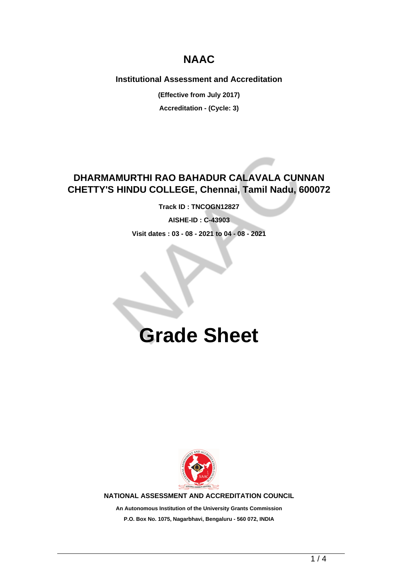## **NAAC**

**Institutional Assessment and Accreditation**

**(Effective from July 2017) Accreditation - (Cycle: 3)**

### **DHARMAMURTHI RAO BAHADUR CALAVALA CUNNAN CHETTY'S HINDU COLLEGE, Chennai, Tamil Nadu, 600072**

**Track ID : TNCOGN12827**

**AISHE-ID : C-43903**

**Visit dates : 03 - 08 - 2021 to 04 - 08 - 2021**

# **Grade Sheet**



**NATIONAL ASSESSMENT AND ACCREDITATION COUNCIL**

**An Autonomous Institution of the University Grants Commission P.O. Box No. 1075, Nagarbhavi, Bengaluru - 560 072, INDIA**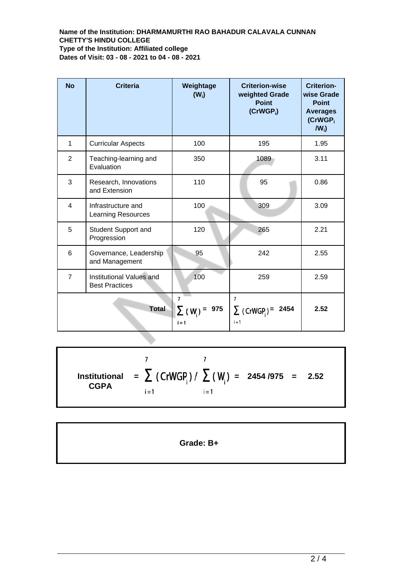### **Name of the Institution: DHARMAMURTHI RAO BAHADUR CALAVALA CUNNAN CHETTY'S HINDU COLLEGE Type of the Institution: Affiliated college Dates of Visit: 03 - 08 - 2021 to 04 - 08 - 2021**

| <b>No</b>      | <b>Criteria</b>                                   | Weightage<br>$(W_i)$                | <b>Criterion-wise</b><br>weighted Grade<br><b>Point</b><br>$(CrWGP_i)$ | <b>Criterion-</b><br>wise Grade<br><b>Point</b><br><b>Averages</b><br>(CrWGP <sub>i</sub><br>$IW_i$ |
|----------------|---------------------------------------------------|-------------------------------------|------------------------------------------------------------------------|-----------------------------------------------------------------------------------------------------|
| 1              | <b>Curricular Aspects</b>                         | 100                                 | 195                                                                    | 1.95                                                                                                |
| $\overline{2}$ | Teaching-learning and<br>Evaluation               | 350                                 | 1089                                                                   | 3.11                                                                                                |
| 3              | Research, Innovations<br>and Extension            | 110                                 | 95                                                                     | 0.86                                                                                                |
| $\overline{4}$ | Infrastructure and<br><b>Learning Resources</b>   | 100                                 | 309                                                                    | 3.09                                                                                                |
| 5              | Student Support and<br>Progression                | 120                                 | 265                                                                    | 2.21                                                                                                |
| 6              | Governance, Leadership<br>and Management          | 95                                  | 242                                                                    | 2.55                                                                                                |
| $\overline{7}$ | Institutional Values and<br><b>Best Practices</b> | 100                                 | 259                                                                    | 2.59                                                                                                |
| <b>Total</b>   |                                                   | 7<br>975<br>$\Sigma$ (W)<br>$i = 1$ | $\overline{7}$<br>$\sum$ (CrWGP) =<br>2454<br>$i = 1$                  | 2.52                                                                                                |

 $\overline{7}$  $\overline{7}$ **=**  $\sum$  (CrWGP<sub>i</sub>)/  $\sum$  (W<sub>i</sub>) = 2454/975 = 2.52 **Institutional CGPA**  $i = 1$  $i = 1$ 

**Grade: B+**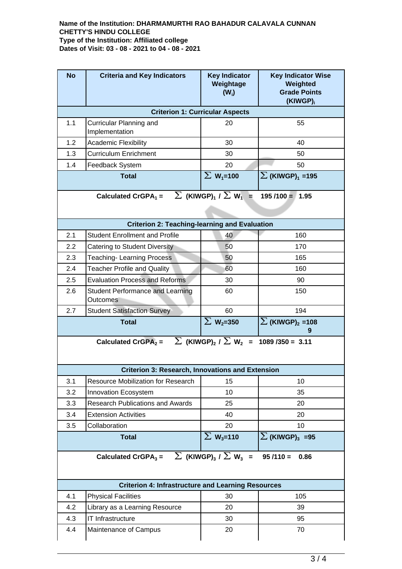### **Name of the Institution: DHARMAMURTHI RAO BAHADUR CALAVALA CUNNAN CHETTY'S HINDU COLLEGE Type of the Institution: Affiliated college Dates of Visit: 03 - 08 - 2021 to 04 - 08 - 2021**

| <b>No</b>                                                                                                 | <b>Criteria and Key Indicators</b>                  | <b>Key Indicator</b><br>Weightage<br>$(W_i)$ | <b>Key Indicator Wise</b><br>Weighted<br><b>Grade Points</b><br>(KIWGP) <sub>i</sub> |  |  |  |  |
|-----------------------------------------------------------------------------------------------------------|-----------------------------------------------------|----------------------------------------------|--------------------------------------------------------------------------------------|--|--|--|--|
| <b>Criterion 1: Curricular Aspects</b>                                                                    |                                                     |                                              |                                                                                      |  |  |  |  |
| 1.1                                                                                                       | Curricular Planning and<br>Implementation           | 20                                           | 55                                                                                   |  |  |  |  |
| 1.2                                                                                                       | Academic Flexibility                                | 30                                           | 40                                                                                   |  |  |  |  |
| 1.3                                                                                                       | <b>Curriculum Enrichment</b>                        | 30                                           | 50                                                                                   |  |  |  |  |
| 1.4                                                                                                       | Feedback System                                     | 20                                           | 50                                                                                   |  |  |  |  |
|                                                                                                           | <b>Total</b>                                        | $\sum$ W <sub>1</sub> =100                   | $\sum$ (KIWGP) $_1$ =195                                                             |  |  |  |  |
| Calculated CrGPA <sub>1</sub> = $\sum$ (KIWGP) <sub>1</sub> / $\sum$ W <sub>1</sub> =<br>$195/100 = 1.95$ |                                                     |                                              |                                                                                      |  |  |  |  |
| <b>Criterion 2: Teaching-learning and Evaluation</b>                                                      |                                                     |                                              |                                                                                      |  |  |  |  |
| 2.1                                                                                                       | <b>Student Enrollment and Profile</b>               | 40                                           | 160                                                                                  |  |  |  |  |
| 2.2                                                                                                       | Catering to Student Diversity                       | 50                                           | 170                                                                                  |  |  |  |  |
| 2.3                                                                                                       | <b>Teaching-Learning Process</b>                    | 50                                           | 165                                                                                  |  |  |  |  |
| 2.4                                                                                                       | <b>Teacher Profile and Quality</b>                  | 60                                           | 160                                                                                  |  |  |  |  |
| 2.5                                                                                                       | <b>Evaluation Process and Reforms</b>               | 30                                           | 90                                                                                   |  |  |  |  |
| 2.6                                                                                                       | <b>Student Performance and Learning</b><br>Outcomes | 60                                           | 150                                                                                  |  |  |  |  |
| 2.7                                                                                                       | <b>Student Satisfaction Survey</b>                  | 60                                           | 194                                                                                  |  |  |  |  |
|                                                                                                           | <b>Total</b>                                        | $\Sigma$ W <sub>2</sub> =350                 | $\sum$ (KIWGP) <sub>2</sub> = 108<br>9                                               |  |  |  |  |
| Calculated CrGPA <sub>2</sub> = $\sum$ (KIWGP) <sub>2</sub> / $\sum$ W <sub>2</sub> = 1089 /350 = 3.11    |                                                     |                                              |                                                                                      |  |  |  |  |
| <b>Criterion 3: Research, Innovations and Extension</b>                                                   |                                                     |                                              |                                                                                      |  |  |  |  |
| 3.1                                                                                                       | Resource Mobilization for Research                  | 15                                           | 10                                                                                   |  |  |  |  |
| 3.2                                                                                                       | Innovation Ecosystem                                | 10                                           | 35                                                                                   |  |  |  |  |
| 3.3                                                                                                       | <b>Research Publications and Awards</b>             | 25                                           | 20                                                                                   |  |  |  |  |
| 3.4                                                                                                       | <b>Extension Activities</b>                         | 40                                           | 20                                                                                   |  |  |  |  |
| 3.5                                                                                                       | Collaboration                                       | 20                                           | 10                                                                                   |  |  |  |  |
|                                                                                                           | <b>Total</b>                                        | $\Sigma$ W <sub>3</sub> =110                 | $\sum$ (KIWGP) <sub>3</sub> =95                                                      |  |  |  |  |
| $\sum$ (KIWGP) <sub>3</sub> / $\sum$ W <sub>3</sub> =<br>Calculated CrGPA $_3$ =<br>$95/110 =$<br>0.86    |                                                     |                                              |                                                                                      |  |  |  |  |
| <b>Criterion 4: Infrastructure and Learning Resources</b>                                                 |                                                     |                                              |                                                                                      |  |  |  |  |
|                                                                                                           |                                                     |                                              |                                                                                      |  |  |  |  |
| 4.1                                                                                                       | <b>Physical Facilities</b>                          | 30                                           | 105                                                                                  |  |  |  |  |
| 4.2                                                                                                       | Library as a Learning Resource                      | 20                                           | 39                                                                                   |  |  |  |  |
| 4.3                                                                                                       | IT Infrastructure                                   | 30                                           | 95                                                                                   |  |  |  |  |